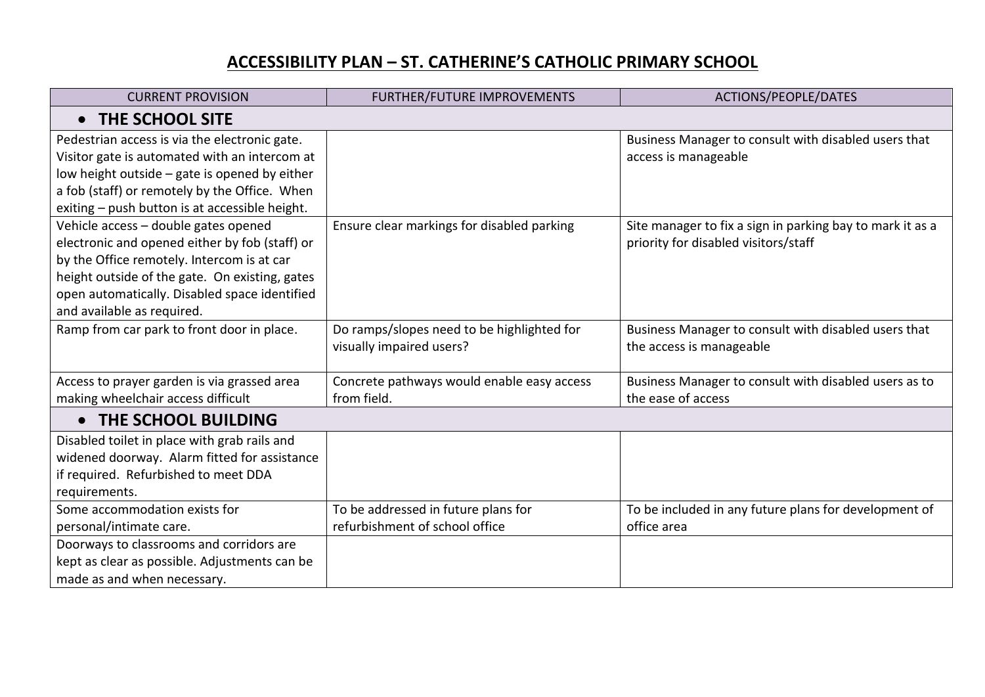## **ACCESSIBILITY PLAN – ST. CATHERINE'S CATHOLIC PRIMARY SCHOOL**

| <b>CURRENT PROVISION</b>                       | <b>FURTHER/FUTURE IMPROVEMENTS</b>         | ACTIONS/PEOPLE/DATES                                      |  |
|------------------------------------------------|--------------------------------------------|-----------------------------------------------------------|--|
| THE SCHOOL SITE<br>$\bullet$                   |                                            |                                                           |  |
| Pedestrian access is via the electronic gate.  |                                            | Business Manager to consult with disabled users that      |  |
| Visitor gate is automated with an intercom at  |                                            | access is manageable                                      |  |
| low height outside - gate is opened by either  |                                            |                                                           |  |
| a fob (staff) or remotely by the Office. When  |                                            |                                                           |  |
| exiting - push button is at accessible height. |                                            |                                                           |  |
| Vehicle access - double gates opened           | Ensure clear markings for disabled parking | Site manager to fix a sign in parking bay to mark it as a |  |
| electronic and opened either by fob (staff) or |                                            | priority for disabled visitors/staff                      |  |
| by the Office remotely. Intercom is at car     |                                            |                                                           |  |
| height outside of the gate. On existing, gates |                                            |                                                           |  |
| open automatically. Disabled space identified  |                                            |                                                           |  |
| and available as required.                     |                                            |                                                           |  |
| Ramp from car park to front door in place.     | Do ramps/slopes need to be highlighted for | Business Manager to consult with disabled users that      |  |
|                                                | visually impaired users?                   | the access is manageable                                  |  |
|                                                |                                            |                                                           |  |
| Access to prayer garden is via grassed area    | Concrete pathways would enable easy access | Business Manager to consult with disabled users as to     |  |
| making wheelchair access difficult             | from field.                                | the ease of access                                        |  |
| THE SCHOOL BUILDING<br>$\bullet$               |                                            |                                                           |  |
| Disabled toilet in place with grab rails and   |                                            |                                                           |  |
| widened doorway. Alarm fitted for assistance   |                                            |                                                           |  |
| if required. Refurbished to meet DDA           |                                            |                                                           |  |
| requirements.                                  |                                            |                                                           |  |
| Some accommodation exists for                  | To be addressed in future plans for        | To be included in any future plans for development of     |  |
| personal/intimate care.                        | refurbishment of school office             | office area                                               |  |
| Doorways to classrooms and corridors are       |                                            |                                                           |  |
| kept as clear as possible. Adjustments can be  |                                            |                                                           |  |
| made as and when necessary.                    |                                            |                                                           |  |